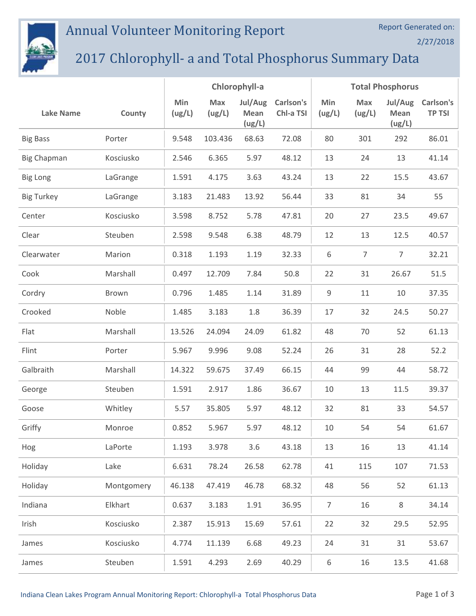

## Annual Volunteer Monitoring Report

2/27/2018

## 2017 Chlorophyll- a and Total Phosphorus Summary Data

|                    |            | Chlorophyll-a |               |                           |                        | <b>Total Phosphorus</b> |               |                           |                            |  |
|--------------------|------------|---------------|---------------|---------------------------|------------------------|-------------------------|---------------|---------------------------|----------------------------|--|
| <b>Lake Name</b>   | County     | Min<br>(ug/L) | Max<br>(ug/L) | Jul/Aug<br>Mean<br>(ug/L) | Carlson's<br>Chl-a TSI | Min<br>(ug/L)           | Max<br>(ug/L) | Jul/Aug<br>Mean<br>(ug/L) | Carlson's<br><b>TP TSI</b> |  |
| <b>Big Bass</b>    | Porter     | 9.548         | 103.436       | 68.63                     | 72.08                  | 80                      | 301           | 292                       | 86.01                      |  |
| <b>Big Chapman</b> | Kosciusko  | 2.546         | 6.365         | 5.97                      | 48.12                  | 13                      | 24            | 13                        | 41.14                      |  |
| <b>Big Long</b>    | LaGrange   | 1.591         | 4.175         | 3.63                      | 43.24                  | 13                      | 22            | 15.5                      | 43.67                      |  |
| <b>Big Turkey</b>  | LaGrange   | 3.183         | 21.483        | 13.92                     | 56.44                  | 33                      | 81            | 34                        | 55                         |  |
| Center             | Kosciusko  | 3.598         | 8.752         | 5.78                      | 47.81                  | 20                      | 27            | 23.5                      | 49.67                      |  |
| Clear              | Steuben    | 2.598         | 9.548         | 6.38                      | 48.79                  | 12                      | 13            | 12.5                      | 40.57                      |  |
| Clearwater         | Marion     | 0.318         | 1.193         | 1.19                      | 32.33                  | 6                       | 7             | 7                         | 32.21                      |  |
| Cook               | Marshall   | 0.497         | 12.709        | 7.84                      | 50.8                   | 22                      | 31            | 26.67                     | 51.5                       |  |
| Cordry             | Brown      | 0.796         | 1.485         | 1.14                      | 31.89                  | $\mathsf 9$             | 11            | 10                        | 37.35                      |  |
| Crooked            | Noble      | 1.485         | 3.183         | 1.8                       | 36.39                  | 17                      | 32            | 24.5                      | 50.27                      |  |
| Flat               | Marshall   | 13.526        | 24.094        | 24.09                     | 61.82                  | 48                      | 70            | 52                        | 61.13                      |  |
| Flint              | Porter     | 5.967         | 9.996         | 9.08                      | 52.24                  | 26                      | 31            | 28                        | 52.2                       |  |
| Galbraith          | Marshall   | 14.322        | 59.675        | 37.49                     | 66.15                  | 44                      | 99            | 44                        | 58.72                      |  |
| George             | Steuben    | 1.591         | 2.917         | 1.86                      | 36.67                  | 10                      | 13            | 11.5                      | 39.37                      |  |
| Goose              | Whitley    | 5.57          | 35.805        | 5.97                      | 48.12                  | 32                      | 81            | 33                        | 54.57                      |  |
| Griffy             | Monroe     | 0.852         | 5.967         | 5.97                      | 48.12                  | 10                      | 54            | 54                        | 61.67                      |  |
| Hog                | LaPorte    | 1.193         | 3.978         | 3.6                       | 43.18                  | 13                      | 16            | 13                        | 41.14                      |  |
| Holiday            | Lake       | 6.631         | 78.24         | 26.58                     | 62.78                  | 41                      | 115           | 107                       | 71.53                      |  |
| Holiday            | Montgomery | 46.138        | 47.419        | 46.78                     | 68.32                  | 48                      | 56            | 52                        | 61.13                      |  |
| Indiana            | Elkhart    | 0.637         | 3.183         | 1.91                      | 36.95                  | $\overline{7}$          | 16            | 8                         | 34.14                      |  |
| Irish              | Kosciusko  | 2.387         | 15.913        | 15.69                     | 57.61                  | 22                      | 32            | 29.5                      | 52.95                      |  |
| James              | Kosciusko  | 4.774         | 11.139        | 6.68                      | 49.23                  | 24                      | 31            | 31                        | 53.67                      |  |
| James              | Steuben    | 1.591         | 4.293         | 2.69                      | 40.29                  | $\,6\,$                 | 16            | 13.5                      | 41.68                      |  |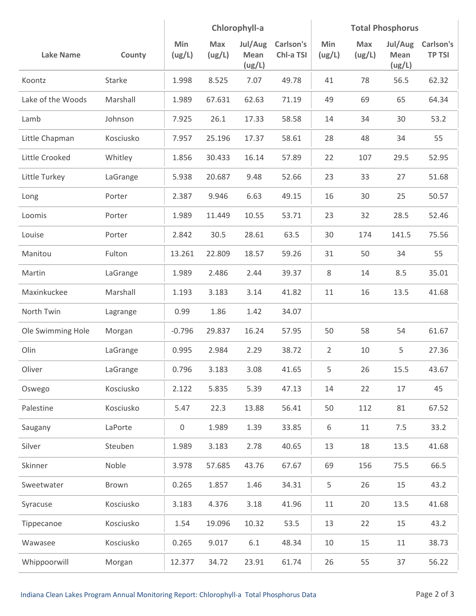|                   |           | Chlorophyll-a |               |                           | <b>Total Phosphorus</b> |               |               |                           |                            |
|-------------------|-----------|---------------|---------------|---------------------------|-------------------------|---------------|---------------|---------------------------|----------------------------|
| <b>Lake Name</b>  | County    | Min<br>(ug/L) | Max<br>(ug/L) | Jul/Aug<br>Mean<br>(ug/L) | Carlson's<br>Chl-a TSI  | Min<br>(ug/L) | Max<br>(ug/L) | Jul/Aug<br>Mean<br>(ug/L) | Carlson's<br><b>TP TSI</b> |
| Koontz            | Starke    | 1.998         | 8.525         | 7.07                      | 49.78                   | 41            | 78            | 56.5                      | 62.32                      |
| Lake of the Woods | Marshall  | 1.989         | 67.631        | 62.63                     | 71.19                   | 49            | 69            | 65                        | 64.34                      |
| Lamb              | Johnson   | 7.925         | 26.1          | 17.33                     | 58.58                   | 14            | 34            | 30                        | 53.2                       |
| Little Chapman    | Kosciusko | 7.957         | 25.196        | 17.37                     | 58.61                   | 28            | 48            | 34                        | 55                         |
| Little Crooked    | Whitley   | 1.856         | 30.433        | 16.14                     | 57.89                   | 22            | 107           | 29.5                      | 52.95                      |
| Little Turkey     | LaGrange  | 5.938         | 20.687        | 9.48                      | 52.66                   | 23            | 33            | 27                        | 51.68                      |
| Long              | Porter    | 2.387         | 9.946         | 6.63                      | 49.15                   | 16            | 30            | 25                        | 50.57                      |
| Loomis            | Porter    | 1.989         | 11.449        | 10.55                     | 53.71                   | 23            | 32            | 28.5                      | 52.46                      |
| Louise            | Porter    | 2.842         | 30.5          | 28.61                     | 63.5                    | 30            | 174           | 141.5                     | 75.56                      |
| Manitou           | Fulton    | 13.261        | 22.809        | 18.57                     | 59.26                   | 31            | 50            | 34                        | 55                         |
| Martin            | LaGrange  | 1.989         | 2.486         | 2.44                      | 39.37                   | 8             | 14            | 8.5                       | 35.01                      |
| Maxinkuckee       | Marshall  | 1.193         | 3.183         | 3.14                      | 41.82                   | 11            | 16            | 13.5                      | 41.68                      |
| North Twin        | Lagrange  | 0.99          | 1.86          | 1.42                      | 34.07                   |               |               |                           |                            |
| Ole Swimming Hole | Morgan    | $-0.796$      | 29.837        | 16.24                     | 57.95                   | 50            | 58            | 54                        | 61.67                      |
| Olin              | LaGrange  | 0.995         | 2.984         | 2.29                      | 38.72                   | 2             | 10            | 5                         | 27.36                      |
| Oliver            | LaGrange  | 0.796         | 3.183         | 3.08                      | 41.65                   | 5             | 26            | 15.5                      | 43.67                      |
| Oswego            | Kosciusko | 2.122         | 5.835         | 5.39                      | 47.13                   | 14            | 22            | 17                        | 45                         |
| Palestine         | Kosciusko | 5.47          | 22.3          | 13.88                     | 56.41                   | 50            | 112           | 81                        | 67.52                      |
| Saugany           | LaPorte   | $\mathbf 0$   | 1.989         | 1.39                      | 33.85                   | 6             | $11\,$        | 7.5                       | 33.2                       |
| Silver            | Steuben   | 1.989         | 3.183         | 2.78                      | 40.65                   | 13            | 18            | 13.5                      | 41.68                      |
| Skinner           | Noble     | 3.978         | 57.685        | 43.76                     | 67.67                   | 69            | 156           | 75.5                      | 66.5                       |
| Sweetwater        | Brown     | 0.265         | 1.857         | 1.46                      | 34.31                   | 5             | 26            | 15                        | 43.2                       |
| Syracuse          | Kosciusko | 3.183         | 4.376         | 3.18                      | 41.96                   | 11            | 20            | 13.5                      | 41.68                      |
| Tippecanoe        | Kosciusko | 1.54          | 19.096        | 10.32                     | 53.5                    | 13            | 22            | 15                        | 43.2                       |
| Wawasee           | Kosciusko | 0.265         | 9.017         | 6.1                       | 48.34                   | 10            | 15            | 11                        | 38.73                      |
| Whippoorwill      | Morgan    | 12.377        | 34.72         | 23.91                     | 61.74                   | 26            | 55            | 37                        | 56.22                      |